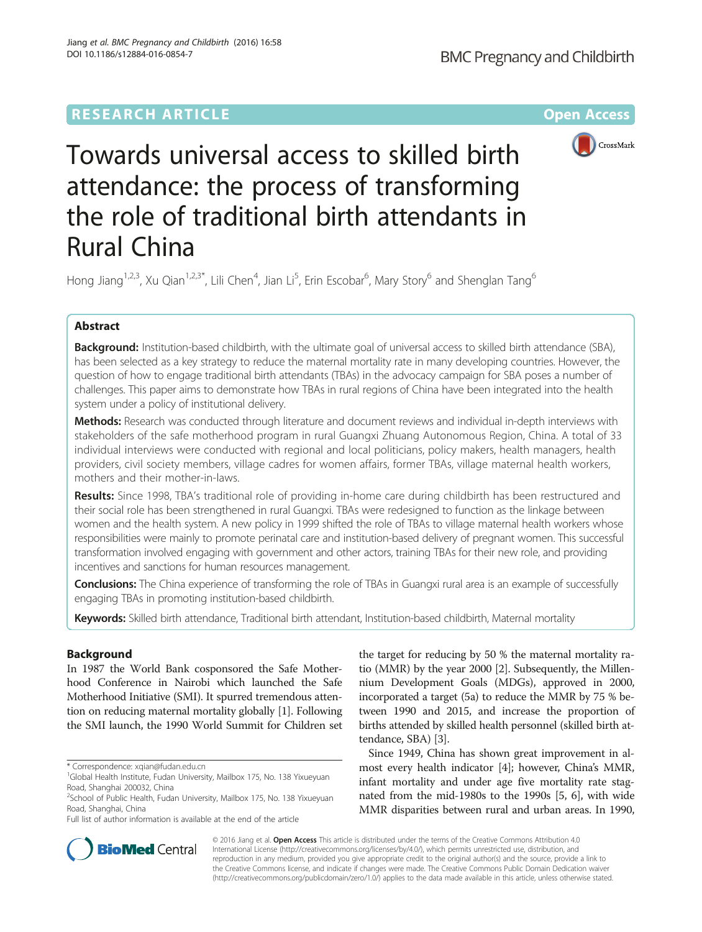## **RESEARCH ARTICLE Example 2014 12:30 The Company Access** (RESEARCH ARTICLE



# Towards universal access to skilled birth attendance: the process of transforming the role of traditional birth attendants in Rural China

Hong Jiang<sup>1,2,3</sup>, Xu Qian<sup>1,2,3\*</sup>, Lili Chen<sup>4</sup>, Jian Li<sup>5</sup>, Erin Escobar<sup>6</sup>, Mary Story<sup>6</sup> and Shenglan Tang<sup>6</sup>

## Abstract

Background: Institution-based childbirth, with the ultimate goal of universal access to skilled birth attendance (SBA), has been selected as a key strategy to reduce the maternal mortality rate in many developing countries. However, the question of how to engage traditional birth attendants (TBAs) in the advocacy campaign for SBA poses a number of challenges. This paper aims to demonstrate how TBAs in rural regions of China have been integrated into the health system under a policy of institutional delivery.

Methods: Research was conducted through literature and document reviews and individual in-depth interviews with stakeholders of the safe motherhood program in rural Guangxi Zhuang Autonomous Region, China. A total of 33 individual interviews were conducted with regional and local politicians, policy makers, health managers, health providers, civil society members, village cadres for women affairs, former TBAs, village maternal health workers, mothers and their mother-in-laws.

Results: Since 1998, TBA's traditional role of providing in-home care during childbirth has been restructured and their social role has been strengthened in rural Guangxi. TBAs were redesigned to function as the linkage between women and the health system. A new policy in 1999 shifted the role of TBAs to village maternal health workers whose responsibilities were mainly to promote perinatal care and institution-based delivery of pregnant women. This successful transformation involved engaging with government and other actors, training TBAs for their new role, and providing incentives and sanctions for human resources management.

Conclusions: The China experience of transforming the role of TBAs in Guangxi rural area is an example of successfully engaging TBAs in promoting institution-based childbirth.

Keywords: Skilled birth attendance, Traditional birth attendant, Institution-based childbirth, Maternal mortality

## Background

In 1987 the World Bank cosponsored the Safe Motherhood Conference in Nairobi which launched the Safe Motherhood Initiative (SMI). It spurred tremendous attention on reducing maternal mortality globally [\[1\]](#page-7-0). Following the SMI launch, the 1990 World Summit for Children set

\* Correspondence: [xqian@fudan.edu.cn](mailto:xqian@fudan.edu.cn) <sup>1</sup>

Full list of author information is available at the end of the article

the target for reducing by 50 % the maternal mortality ratio (MMR) by the year 2000 [\[2](#page-7-0)]. Subsequently, the Millennium Development Goals (MDGs), approved in 2000, incorporated a target (5a) to reduce the MMR by 75 % between 1990 and 2015, and increase the proportion of births attended by skilled health personnel (skilled birth attendance, SBA) [\[3](#page-7-0)].

Since 1949, China has shown great improvement in almost every health indicator [\[4\]](#page-7-0); however, China's MMR, infant mortality and under age five mortality rate stagnated from the mid-1980s to the 1990s [\[5](#page-7-0), [6\]](#page-7-0), with wide MMR disparities between rural and urban areas. In 1990,



© 2016 Jiang et al. Open Access This article is distributed under the terms of the Creative Commons Attribution 4.0 International License [\(http://creativecommons.org/licenses/by/4.0/](http://creativecommons.org/licenses/by/4.0/)), which permits unrestricted use, distribution, and reproduction in any medium, provided you give appropriate credit to the original author(s) and the source, provide a link to the Creative Commons license, and indicate if changes were made. The Creative Commons Public Domain Dedication waiver [\(http://creativecommons.org/publicdomain/zero/1.0/](http://creativecommons.org/publicdomain/zero/1.0/)) applies to the data made available in this article, unless otherwise stated.

<sup>&</sup>lt;sup>1</sup>Global Health Institute, Fudan University, Mailbox 175, No. 138 Yixueyuan Road, Shanghai 200032, China

<sup>2</sup> School of Public Health, Fudan University, Mailbox 175, No. 138 Yixueyuan Road, Shanghai, China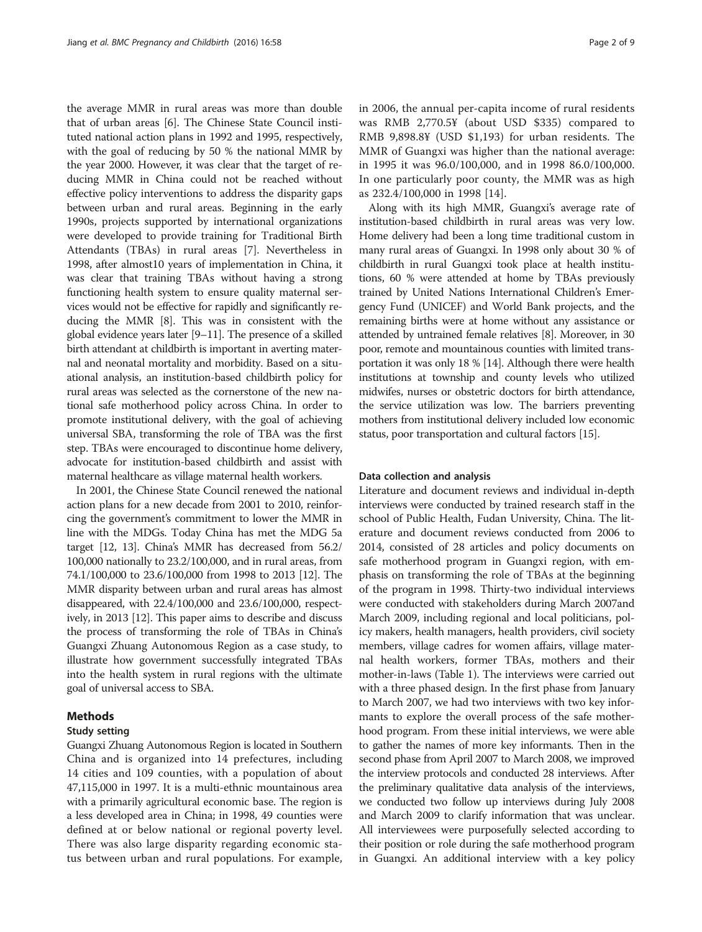the average MMR in rural areas was more than double that of urban areas [\[6](#page-7-0)]. The Chinese State Council instituted national action plans in 1992 and 1995, respectively, with the goal of reducing by 50 % the national MMR by the year 2000. However, it was clear that the target of reducing MMR in China could not be reached without effective policy interventions to address the disparity gaps between urban and rural areas. Beginning in the early 1990s, projects supported by international organizations were developed to provide training for Traditional Birth Attendants (TBAs) in rural areas [\[7\]](#page-7-0). Nevertheless in 1998, after almost10 years of implementation in China, it was clear that training TBAs without having a strong functioning health system to ensure quality maternal services would not be effective for rapidly and significantly reducing the MMR [[8\]](#page-7-0). This was in consistent with the global evidence years later [\[9](#page-7-0)–[11](#page-7-0)]. The presence of a skilled birth attendant at childbirth is important in averting maternal and neonatal mortality and morbidity. Based on a situational analysis, an institution-based childbirth policy for rural areas was selected as the cornerstone of the new national safe motherhood policy across China. In order to promote institutional delivery, with the goal of achieving universal SBA, transforming the role of TBA was the first step. TBAs were encouraged to discontinue home delivery, advocate for institution-based childbirth and assist with maternal healthcare as village maternal health workers.

In 2001, the Chinese State Council renewed the national action plans for a new decade from 2001 to 2010, reinforcing the government's commitment to lower the MMR in line with the MDGs. Today China has met the MDG 5a target [\[12, 13](#page-7-0)]. China's MMR has decreased from 56.2/ 100,000 nationally to 23.2/100,000, and in rural areas, from 74.1/100,000 to 23.6/100,000 from 1998 to 2013 [[12](#page-7-0)]. The MMR disparity between urban and rural areas has almost disappeared, with 22.4/100,000 and 23.6/100,000, respectively, in 2013 [[12](#page-7-0)]. This paper aims to describe and discuss the process of transforming the role of TBAs in China's Guangxi Zhuang Autonomous Region as a case study, to illustrate how government successfully integrated TBAs into the health system in rural regions with the ultimate goal of universal access to SBA.

## Methods

## Study setting

Guangxi Zhuang Autonomous Region is located in Southern China and is organized into 14 prefectures, including 14 cities and 109 counties, with a population of about 47,115,000 in 1997. It is a multi-ethnic mountainous area with a primarily agricultural economic base. The region is a less developed area in China; in 1998, 49 counties were defined at or below national or regional poverty level. There was also large disparity regarding economic status between urban and rural populations. For example, in 2006, the annual per-capita income of rural residents was RMB 2,770.5¥ (about USD \$335) compared to RMB 9,898.8¥ (USD \$1,193) for urban residents. The MMR of Guangxi was higher than the national average: in 1995 it was 96.0/100,000, and in 1998 86.0/100,000. In one particularly poor county, the MMR was as high as 232.4/100,000 in 1998 [\[14](#page-7-0)].

Along with its high MMR, Guangxi's average rate of institution-based childbirth in rural areas was very low. Home delivery had been a long time traditional custom in many rural areas of Guangxi. In 1998 only about 30 % of childbirth in rural Guangxi took place at health institutions, 60 % were attended at home by TBAs previously trained by United Nations International Children's Emergency Fund (UNICEF) and World Bank projects, and the remaining births were at home without any assistance or attended by untrained female relatives [\[8](#page-7-0)]. Moreover, in 30 poor, remote and mountainous counties with limited transportation it was only 18 % [\[14\]](#page-7-0). Although there were health institutions at township and county levels who utilized midwifes, nurses or obstetric doctors for birth attendance, the service utilization was low. The barriers preventing mothers from institutional delivery included low economic status, poor transportation and cultural factors [\[15\]](#page-7-0).

#### Data collection and analysis

Literature and document reviews and individual in-depth interviews were conducted by trained research staff in the school of Public Health, Fudan University, China. The literature and document reviews conducted from 2006 to 2014, consisted of 28 articles and policy documents on safe motherhood program in Guangxi region, with emphasis on transforming the role of TBAs at the beginning of the program in 1998. Thirty-two individual interviews were conducted with stakeholders during March 2007and March 2009, including regional and local politicians, policy makers, health managers, health providers, civil society members, village cadres for women affairs, village maternal health workers, former TBAs, mothers and their mother-in-laws (Table [1\)](#page-2-0). The interviews were carried out with a three phased design. In the first phase from January to March 2007, we had two interviews with two key informants to explore the overall process of the safe motherhood program. From these initial interviews, we were able to gather the names of more key informants. Then in the second phase from April 2007 to March 2008, we improved the interview protocols and conducted 28 interviews. After the preliminary qualitative data analysis of the interviews, we conducted two follow up interviews during July 2008 and March 2009 to clarify information that was unclear. All interviewees were purposefully selected according to their position or role during the safe motherhood program in Guangxi. An additional interview with a key policy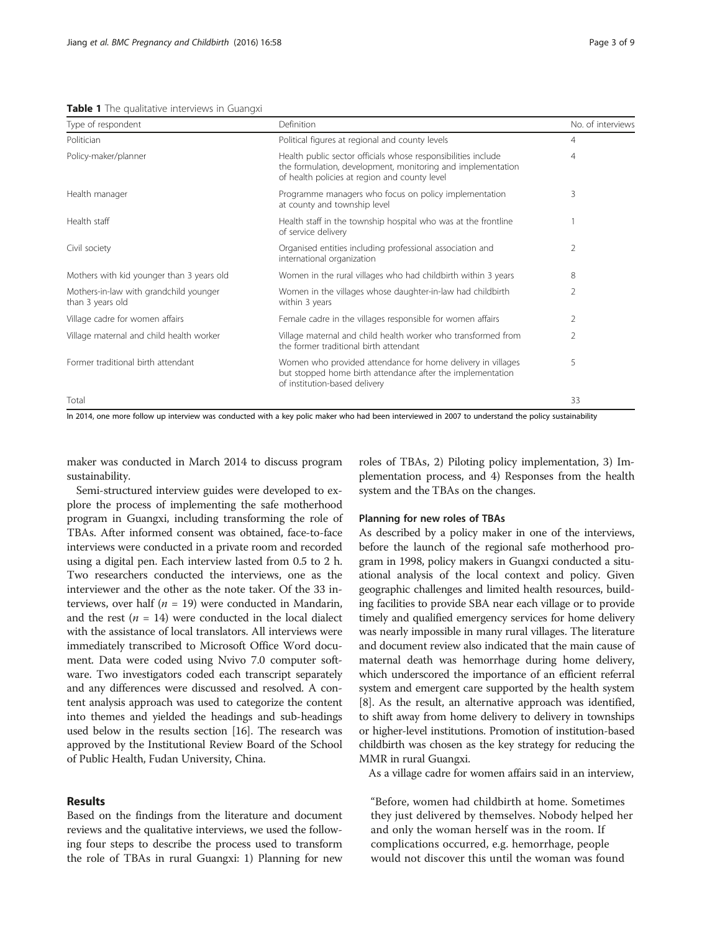<span id="page-2-0"></span>Table 1 The qualitative interviews in Guangxi

| Type of respondent                                         | Definition                                                                                                                                                                    | No. of interviews |
|------------------------------------------------------------|-------------------------------------------------------------------------------------------------------------------------------------------------------------------------------|-------------------|
| Politician                                                 | Political figures at regional and county levels                                                                                                                               | 4                 |
| Policy-maker/planner                                       | Health public sector officials whose responsibilities include<br>the formulation, development, monitoring and implementation<br>of health policies at region and county level | 4                 |
| Health manager                                             | Programme managers who focus on policy implementation<br>at county and township level                                                                                         | 3                 |
| Health staff                                               | Health staff in the township hospital who was at the frontline<br>of service delivery                                                                                         |                   |
| Civil society                                              | Organised entities including professional association and<br>international organization                                                                                       | 2                 |
| Mothers with kid younger than 3 years old                  | Women in the rural villages who had childbirth within 3 years                                                                                                                 | 8                 |
| Mothers-in-law with grandchild younger<br>than 3 years old | Women in the villages whose daughter-in-law had childbirth<br>within 3 years                                                                                                  | $\mathfrak{D}$    |
| Village cadre for women affairs                            | Female cadre in the villages responsible for women affairs                                                                                                                    | 2                 |
| Village maternal and child health worker                   | Village maternal and child health worker who transformed from<br>the former traditional birth attendant                                                                       | $\overline{2}$    |
| Former traditional birth attendant                         | Women who provided attendance for home delivery in villages<br>but stopped home birth attendance after the implementation<br>of institution-based delivery                    | 5                 |
| Total                                                      |                                                                                                                                                                               | 33                |

In 2014, one more follow up interview was conducted with a key polic maker who had been interviewed in 2007 to understand the policy sustainability

maker was conducted in March 2014 to discuss program sustainability.

Semi-structured interview guides were developed to explore the process of implementing the safe motherhood program in Guangxi, including transforming the role of TBAs. After informed consent was obtained, face-to-face interviews were conducted in a private room and recorded using a digital pen. Each interview lasted from 0.5 to 2 h. Two researchers conducted the interviews, one as the interviewer and the other as the note taker. Of the 33 interviews, over half ( $n = 19$ ) were conducted in Mandarin, and the rest ( $n = 14$ ) were conducted in the local dialect with the assistance of local translators. All interviews were immediately transcribed to Microsoft Office Word document. Data were coded using Nvivo 7.0 computer software. Two investigators coded each transcript separately and any differences were discussed and resolved. A content analysis approach was used to categorize the content into themes and yielded the headings and sub-headings used below in the results section [[16\]](#page-7-0). The research was approved by the Institutional Review Board of the School of Public Health, Fudan University, China.

## Results

Based on the findings from the literature and document reviews and the qualitative interviews, we used the following four steps to describe the process used to transform the role of TBAs in rural Guangxi: 1) Planning for new

roles of TBAs, 2) Piloting policy implementation, 3) Implementation process, and 4) Responses from the health system and the TBAs on the changes.

#### Planning for new roles of TBAs

As described by a policy maker in one of the interviews, before the launch of the regional safe motherhood program in 1998, policy makers in Guangxi conducted a situational analysis of the local context and policy. Given geographic challenges and limited health resources, building facilities to provide SBA near each village or to provide timely and qualified emergency services for home delivery was nearly impossible in many rural villages. The literature and document review also indicated that the main cause of maternal death was hemorrhage during home delivery, which underscored the importance of an efficient referral system and emergent care supported by the health system [[8\]](#page-7-0). As the result, an alternative approach was identified, to shift away from home delivery to delivery in townships or higher-level institutions. Promotion of institution-based childbirth was chosen as the key strategy for reducing the MMR in rural Guangxi.

As a village cadre for women affairs said in an interview,

"Before, women had childbirth at home. Sometimes they just delivered by themselves. Nobody helped her and only the woman herself was in the room. If complications occurred, e.g. hemorrhage, people would not discover this until the woman was found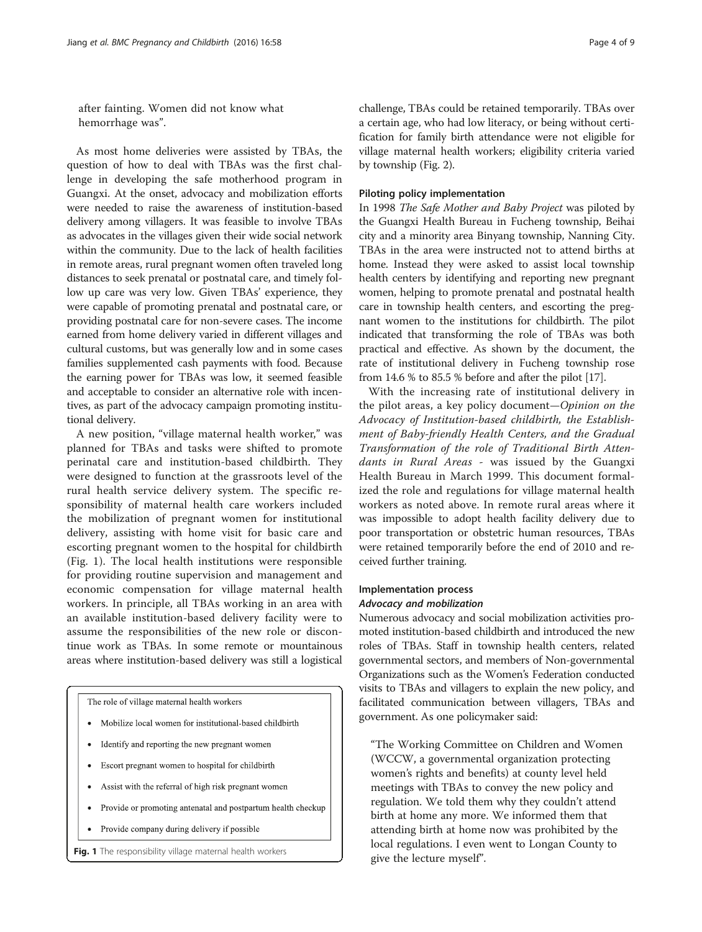after fainting. Women did not know what hemorrhage was".

As most home deliveries were assisted by TBAs, the question of how to deal with TBAs was the first challenge in developing the safe motherhood program in Guangxi. At the onset, advocacy and mobilization efforts were needed to raise the awareness of institution-based delivery among villagers. It was feasible to involve TBAs as advocates in the villages given their wide social network within the community. Due to the lack of health facilities in remote areas, rural pregnant women often traveled long distances to seek prenatal or postnatal care, and timely follow up care was very low. Given TBAs' experience, they were capable of promoting prenatal and postnatal care, or providing postnatal care for non-severe cases. The income earned from home delivery varied in different villages and cultural customs, but was generally low and in some cases families supplemented cash payments with food. Because the earning power for TBAs was low, it seemed feasible and acceptable to consider an alternative role with incentives, as part of the advocacy campaign promoting institutional delivery.

A new position, "village maternal health worker," was planned for TBAs and tasks were shifted to promote perinatal care and institution-based childbirth. They were designed to function at the grassroots level of the rural health service delivery system. The specific responsibility of maternal health care workers included the mobilization of pregnant women for institutional delivery, assisting with home visit for basic care and escorting pregnant women to the hospital for childbirth (Fig. 1). The local health institutions were responsible for providing routine supervision and management and economic compensation for village maternal health workers. In principle, all TBAs working in an area with an available institution-based delivery facility were to assume the responsibilities of the new role or discontinue work as TBAs. In some remote or mountainous areas where institution-based delivery was still a logistical

The role of village maternal health workers

- Mobilize local women for institutional-based childbirth
- Identify and reporting the new pregnant women
- Escort pregnant women to hospital for childbirth
- Assist with the referral of high risk pregnant women
- Provide or promoting antenatal and postpartum health checkup
- Provide company during delivery if possible

challenge, TBAs could be retained temporarily. TBAs over a certain age, who had low literacy, or being without certification for family birth attendance were not eligible for village maternal health workers; eligibility criteria varied by township (Fig. [2\)](#page-4-0).

#### Piloting policy implementation

In 1998 The Safe Mother and Baby Project was piloted by the Guangxi Health Bureau in Fucheng township, Beihai city and a minority area Binyang township, Nanning City. TBAs in the area were instructed not to attend births at home. Instead they were asked to assist local township health centers by identifying and reporting new pregnant women, helping to promote prenatal and postnatal health care in township health centers, and escorting the pregnant women to the institutions for childbirth. The pilot indicated that transforming the role of TBAs was both practical and effective. As shown by the document, the rate of institutional delivery in Fucheng township rose from 14.6 % to 85.5 % before and after the pilot [[17](#page-7-0)].

With the increasing rate of institutional delivery in the pilot areas, a key policy document—Opinion on the Advocacy of Institution-based childbirth, the Establishment of Baby-friendly Health Centers, and the Gradual Transformation of the role of Traditional Birth Attendants in Rural Areas - was issued by the Guangxi Health Bureau in March 1999. This document formalized the role and regulations for village maternal health workers as noted above. In remote rural areas where it was impossible to adopt health facility delivery due to poor transportation or obstetric human resources, TBAs were retained temporarily before the end of 2010 and received further training.

## Implementation process Advocacy and mobilization

Numerous advocacy and social mobilization activities promoted institution-based childbirth and introduced the new roles of TBAs. Staff in township health centers, related governmental sectors, and members of Non-governmental Organizations such as the Women's Federation conducted visits to TBAs and villagers to explain the new policy, and facilitated communication between villagers, TBAs and government. As one policymaker said:

"The Working Committee on Children and Women (WCCW, a governmental organization protecting women's rights and benefits) at county level held meetings with TBAs to convey the new policy and regulation. We told them why they couldn't attend birth at home any more. We informed them that attending birth at home now was prohibited by the local regulations. I even went to Longan County to Fig. 1 The responsibility village maternal health workers give the lecture myself".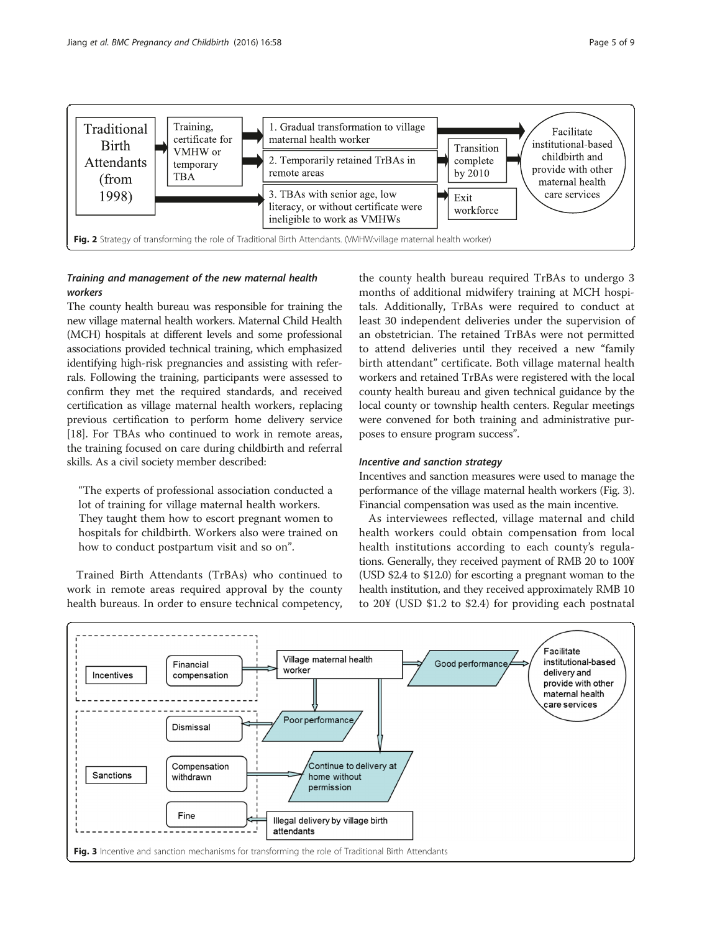<span id="page-4-0"></span>

## Training and management of the new maternal health workers

The county health bureau was responsible for training the new village maternal health workers. Maternal Child Health (MCH) hospitals at different levels and some professional associations provided technical training, which emphasized identifying high-risk pregnancies and assisting with referrals. Following the training, participants were assessed to confirm they met the required standards, and received certification as village maternal health workers, replacing previous certification to perform home delivery service [[18](#page-7-0)]. For TBAs who continued to work in remote areas, the training focused on care during childbirth and referral skills. As a civil society member described:

"The experts of professional association conducted a lot of training for village maternal health workers. They taught them how to escort pregnant women to hospitals for childbirth. Workers also were trained on how to conduct postpartum visit and so on".

Trained Birth Attendants (TrBAs) who continued to work in remote areas required approval by the county health bureaus. In order to ensure technical competency,

the county health bureau required TrBAs to undergo 3 months of additional midwifery training at MCH hospitals. Additionally, TrBAs were required to conduct at least 30 independent deliveries under the supervision of an obstetrician. The retained TrBAs were not permitted to attend deliveries until they received a new "family birth attendant" certificate. Both village maternal health workers and retained TrBAs were registered with the local county health bureau and given technical guidance by the local county or township health centers. Regular meetings were convened for both training and administrative purposes to ensure program success".

## Incentive and sanction strategy

Incentives and sanction measures were used to manage the performance of the village maternal health workers (Fig. 3). Financial compensation was used as the main incentive.

As interviewees reflected, village maternal and child health workers could obtain compensation from local health institutions according to each county's regulations. Generally, they received payment of RMB 20 to 100¥ (USD \$2.4 to \$12.0) for escorting a pregnant woman to the health institution, and they received approximately RMB 10 to 20¥ (USD \$1.2 to \$2.4) for providing each postnatal

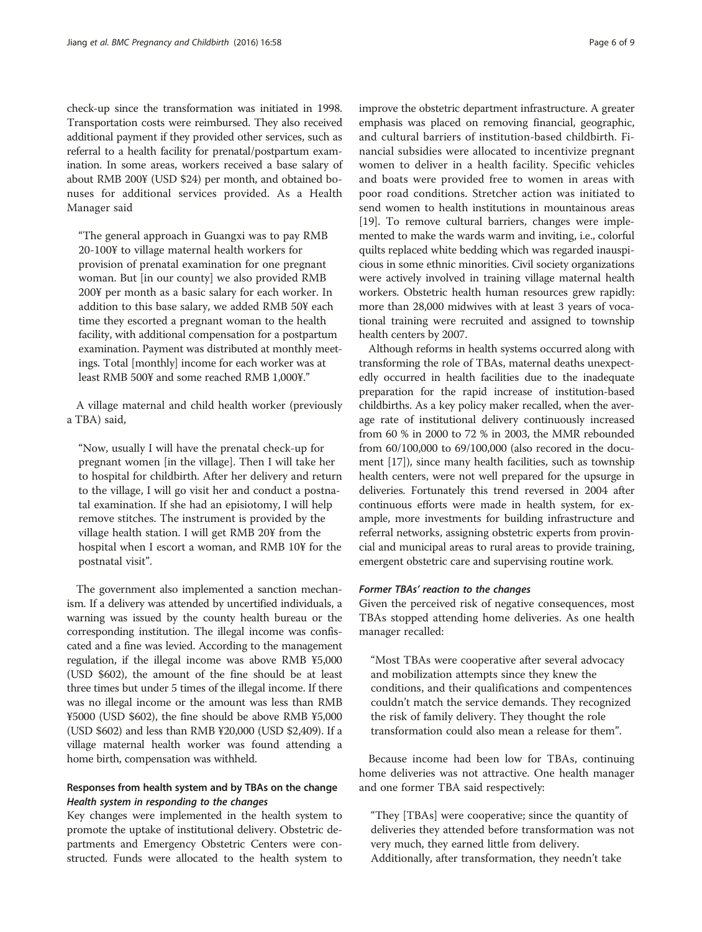check-up since the transformation was initiated in 1998. Transportation costs were reimbursed. They also received additional payment if they provided other services, such as referral to a health facility for prenatal/postpartum examination. In some areas, workers received a base salary of about RMB 200¥ (USD \$24) per month, and obtained bonuses for additional services provided. As a Health Manager said

"The general approach in Guangxi was to pay RMB 20-100¥ to village maternal health workers for provision of prenatal examination for one pregnant woman. But [in our county] we also provided RMB 200¥ per month as a basic salary for each worker. In addition to this base salary, we added RMB 50¥ each time they escorted a pregnant woman to the health facility, with additional compensation for a postpartum examination. Payment was distributed at monthly meetings. Total [monthly] income for each worker was at least RMB 500¥ and some reached RMB 1,000¥."

A village maternal and child health worker (previously a TBA) said,

"Now, usually I will have the prenatal check-up for pregnant women [in the village]. Then I will take her to hospital for childbirth. After her delivery and return to the village, I will go visit her and conduct a postnatal examination. If she had an episiotomy, I will help remove stitches. The instrument is provided by the village health station. I will get RMB 20¥ from the hospital when I escort a woman, and RMB 10¥ for the postnatal visit".

The government also implemented a sanction mechanism. If a delivery was attended by uncertified individuals, a warning was issued by the county health bureau or the corresponding institution. The illegal income was confiscated and a fine was levied. According to the management regulation, if the illegal income was above RMB ¥5,000 (USD \$602), the amount of the fine should be at least three times but under 5 times of the illegal income. If there was no illegal income or the amount was less than RMB ¥5000 (USD \$602), the fine should be above RMB ¥5,000 (USD \$602) and less than RMB ¥20,000 (USD \$2,409). If a village maternal health worker was found attending a home birth, compensation was withheld.

## Responses from health system and by TBAs on the change Health system in responding to the changes

Key changes were implemented in the health system to promote the uptake of institutional delivery. Obstetric departments and Emergency Obstetric Centers were constructed. Funds were allocated to the health system to improve the obstetric department infrastructure. A greater emphasis was placed on removing financial, geographic, and cultural barriers of institution-based childbirth. Financial subsidies were allocated to incentivize pregnant women to deliver in a health facility. Specific vehicles and boats were provided free to women in areas with poor road conditions. Stretcher action was initiated to send women to health institutions in mountainous areas [[19](#page-7-0)]. To remove cultural barriers, changes were implemented to make the wards warm and inviting, i.e., colorful quilts replaced white bedding which was regarded inauspicious in some ethnic minorities. Civil society organizations were actively involved in training village maternal health workers. Obstetric health human resources grew rapidly: more than 28,000 midwives with at least 3 years of vocational training were recruited and assigned to township health centers by 2007.

Although reforms in health systems occurred along with transforming the role of TBAs, maternal deaths unexpectedly occurred in health facilities due to the inadequate preparation for the rapid increase of institution-based childbirths. As a key policy maker recalled, when the average rate of institutional delivery continuously increased from 60 % in 2000 to 72 % in 2003, the MMR rebounded from 60/100,000 to 69/100,000 (also recored in the document [\[17\]](#page-7-0)), since many health facilities, such as township health centers, were not well prepared for the upsurge in deliveries. Fortunately this trend reversed in 2004 after continuous efforts were made in health system, for example, more investments for building infrastructure and referral networks, assigning obstetric experts from provincial and municipal areas to rural areas to provide training, emergent obstetric care and supervising routine work.

#### Former TBAs' reaction to the changes

Given the perceived risk of negative consequences, most TBAs stopped attending home deliveries. As one health manager recalled:

"Most TBAs were cooperative after several advocacy and mobilization attempts since they knew the conditions, and their qualifications and compentences couldn't match the service demands. They recognized the risk of family delivery. They thought the role transformation could also mean a release for them".

Because income had been low for TBAs, continuing home deliveries was not attractive. One health manager and one former TBA said respectively:

"They [TBAs] were cooperative; since the quantity of deliveries they attended before transformation was not very much, they earned little from delivery. Additionally, after transformation, they needn't take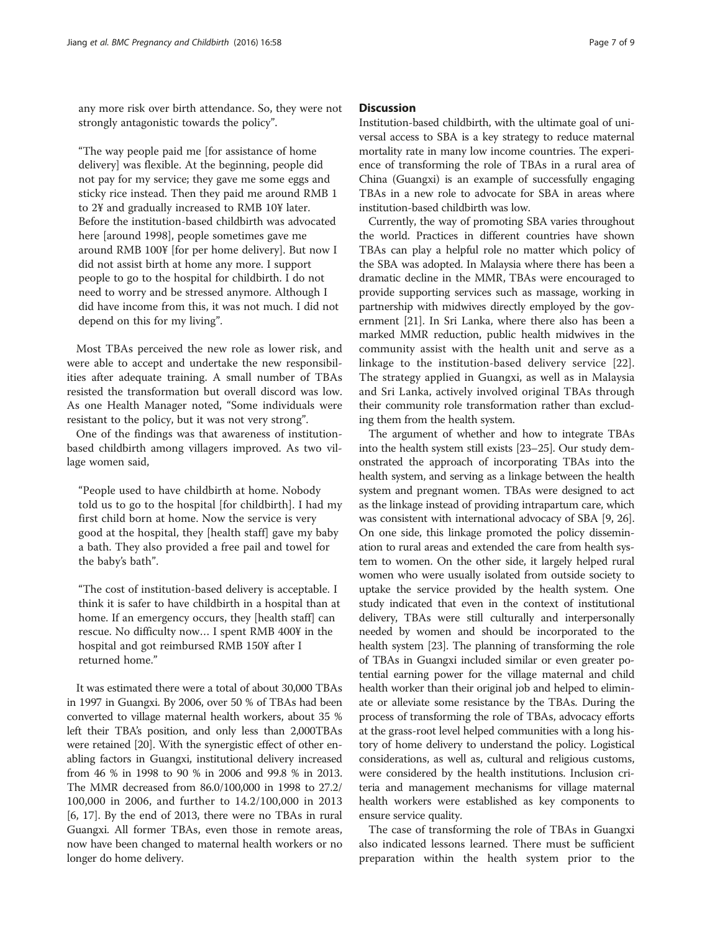any more risk over birth attendance. So, they were not strongly antagonistic towards the policy".

"The way people paid me [for assistance of home delivery] was flexible. At the beginning, people did not pay for my service; they gave me some eggs and sticky rice instead. Then they paid me around RMB 1 to 2¥ and gradually increased to RMB 10¥ later. Before the institution-based childbirth was advocated here [around 1998], people sometimes gave me around RMB 100¥ [for per home delivery]. But now I did not assist birth at home any more. I support people to go to the hospital for childbirth. I do not need to worry and be stressed anymore. Although I did have income from this, it was not much. I did not depend on this for my living".

Most TBAs perceived the new role as lower risk, and were able to accept and undertake the new responsibilities after adequate training. A small number of TBAs resisted the transformation but overall discord was low. As one Health Manager noted, "Some individuals were resistant to the policy, but it was not very strong".

One of the findings was that awareness of institutionbased childbirth among villagers improved. As two village women said,

"People used to have childbirth at home. Nobody told us to go to the hospital [for childbirth]. I had my first child born at home. Now the service is very good at the hospital, they [health staff] gave my baby a bath. They also provided a free pail and towel for the baby's bath".

"The cost of institution-based delivery is acceptable. I think it is safer to have childbirth in a hospital than at home. If an emergency occurs, they [health staff] can rescue. No difficulty now… I spent RMB 400¥ in the hospital and got reimbursed RMB 150¥ after I returned home."

It was estimated there were a total of about 30,000 TBAs in 1997 in Guangxi. By 2006, over 50 % of TBAs had been converted to village maternal health workers, about 35 % left their TBA's position, and only less than 2,000TBAs were retained [[20](#page-8-0)]. With the synergistic effect of other enabling factors in Guangxi, institutional delivery increased from 46 % in 1998 to 90 % in 2006 and 99.8 % in 2013. The MMR decreased from 86.0/100,000 in 1998 to 27.2/ 100,000 in 2006, and further to 14.2/100,000 in 2013 [[6, 17\]](#page-7-0). By the end of 2013, there were no TBAs in rural Guangxi. All former TBAs, even those in remote areas, now have been changed to maternal health workers or no longer do home delivery.

## **Discussion**

Institution-based childbirth, with the ultimate goal of universal access to SBA is a key strategy to reduce maternal mortality rate in many low income countries. The experience of transforming the role of TBAs in a rural area of China (Guangxi) is an example of successfully engaging TBAs in a new role to advocate for SBA in areas where institution-based childbirth was low.

Currently, the way of promoting SBA varies throughout the world. Practices in different countries have shown TBAs can play a helpful role no matter which policy of the SBA was adopted. In Malaysia where there has been a dramatic decline in the MMR, TBAs were encouraged to provide supporting services such as massage, working in partnership with midwives directly employed by the government [[21](#page-8-0)]. In Sri Lanka, where there also has been a marked MMR reduction, public health midwives in the community assist with the health unit and serve as a linkage to the institution-based delivery service [\[22](#page-8-0)]. The strategy applied in Guangxi, as well as in Malaysia and Sri Lanka, actively involved original TBAs through their community role transformation rather than excluding them from the health system.

The argument of whether and how to integrate TBAs into the health system still exists [\[23](#page-8-0)–[25](#page-8-0)]. Our study demonstrated the approach of incorporating TBAs into the health system, and serving as a linkage between the health system and pregnant women. TBAs were designed to act as the linkage instead of providing intrapartum care, which was consistent with international advocacy of SBA [[9,](#page-7-0) [26](#page-8-0)]. On one side, this linkage promoted the policy dissemination to rural areas and extended the care from health system to women. On the other side, it largely helped rural women who were usually isolated from outside society to uptake the service provided by the health system. One study indicated that even in the context of institutional delivery, TBAs were still culturally and interpersonally needed by women and should be incorporated to the health system [\[23\]](#page-8-0). The planning of transforming the role of TBAs in Guangxi included similar or even greater potential earning power for the village maternal and child health worker than their original job and helped to eliminate or alleviate some resistance by the TBAs. During the process of transforming the role of TBAs, advocacy efforts at the grass-root level helped communities with a long history of home delivery to understand the policy. Logistical considerations, as well as, cultural and religious customs, were considered by the health institutions. Inclusion criteria and management mechanisms for village maternal health workers were established as key components to ensure service quality.

The case of transforming the role of TBAs in Guangxi also indicated lessons learned. There must be sufficient preparation within the health system prior to the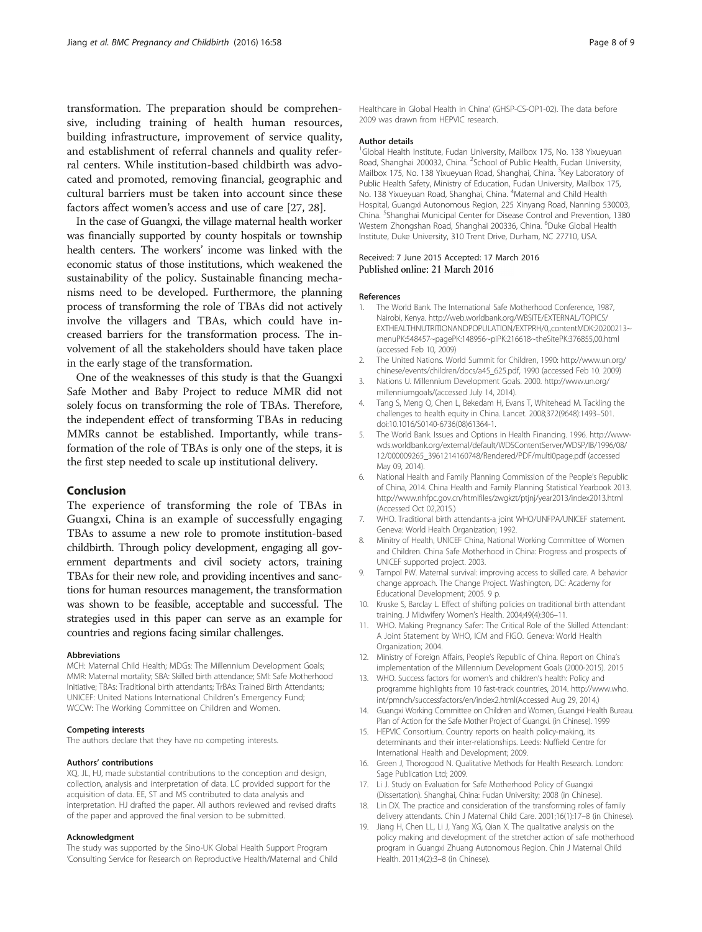<span id="page-7-0"></span>transformation. The preparation should be comprehensive, including training of health human resources, building infrastructure, improvement of service quality, and establishment of referral channels and quality referral centers. While institution-based childbirth was advocated and promoted, removing financial, geographic and cultural barriers must be taken into account since these factors affect women's access and use of care [[27](#page-8-0), [28](#page-8-0)].

In the case of Guangxi, the village maternal health worker was financially supported by county hospitals or township health centers. The workers' income was linked with the economic status of those institutions, which weakened the sustainability of the policy. Sustainable financing mechanisms need to be developed. Furthermore, the planning process of transforming the role of TBAs did not actively involve the villagers and TBAs, which could have increased barriers for the transformation process. The involvement of all the stakeholders should have taken place in the early stage of the transformation.

One of the weaknesses of this study is that the Guangxi Safe Mother and Baby Project to reduce MMR did not solely focus on transforming the role of TBAs. Therefore, the independent effect of transforming TBAs in reducing MMRs cannot be established. Importantly, while transformation of the role of TBAs is only one of the steps, it is the first step needed to scale up institutional delivery.

#### Conclusion

The experience of transforming the role of TBAs in Guangxi, China is an example of successfully engaging TBAs to assume a new role to promote institution-based childbirth. Through policy development, engaging all government departments and civil society actors, training TBAs for their new role, and providing incentives and sanctions for human resources management, the transformation was shown to be feasible, acceptable and successful. The strategies used in this paper can serve as an example for countries and regions facing similar challenges.

#### Abbreviations

MCH: Maternal Child Health; MDGs: The Millennium Development Goals; MMR: Maternal mortality; SBA: Skilled birth attendance; SMI: Safe Motherhood Initiative; TBAs: Traditional birth attendants; TrBAs: Trained Birth Attendants; UNICEF: United Nations International Children's Emergency Fund; WCCW: The Working Committee on Children and Women.

#### Competing interests

The authors declare that they have no competing interests.

#### Authors' contributions

XQ, JL, HJ, made substantial contributions to the conception and design, collection, analysis and interpretation of data. LC provided support for the acquisition of data. EE, ST and MS contributed to data analysis and interpretation. HJ drafted the paper. All authors reviewed and revised drafts of the paper and approved the final version to be submitted.

#### Acknowledgment

The study was supported by the Sino-UK Global Health Support Program 'Consulting Service for Research on Reproductive Health/Maternal and Child Healthcare in Global Health in China' (GHSP-CS-OP1-02). The data before 2009 was drawn from HEPVIC research.

#### Author details

<sup>1</sup>Global Health Institute, Fudan University, Mailbox 175, No. 138 Yixueyuan Road, Shanghai 200032, China. <sup>2</sup>School of Public Health, Fudan University, Mailbox 175, No. 138 Yixueyuan Road, Shanghai, China. <sup>3</sup>Key Laboratory of Public Health Safety, Ministry of Education, Fudan University, Mailbox 175, No. 138 Yixueyuan Road, Shanghai, China. <sup>4</sup>Maternal and Child Health Hospital, Guangxi Autonomous Region, 225 Xinyang Road, Nanning 530003, China. <sup>5</sup>Shanghai Municipal Center for Disease Control and Prevention, 1380 Western Zhongshan Road, Shanghai 200336, China. <sup>6</sup>Duke Global Health Institute, Duke University, 310 Trent Drive, Durham, NC 27710, USA.

#### Received: 7 June 2015 Accepted: 17 March 2016 Published online: 21 March 2016

#### References

- 1. The World Bank. The International Safe Motherhood Conference, 1987, Nairobi, Kenya. [http://web.worldbank.org/WBSITE/EXTERNAL/TOPICS/](http://web.worldbank.org/WBSITE/EXTERNAL/TOPICS/EXTHEALTHNUTRITIONANDPOPULATION/EXTPRH/0,,contentMDK:20200213~menuPK:548457~pagePK:148956~piPK:216618~theSitePK:376855,00.html) [EXTHEALTHNUTRITIONANDPOPULATION/EXTPRH/0,,contentMDK:20200213~](http://web.worldbank.org/WBSITE/EXTERNAL/TOPICS/EXTHEALTHNUTRITIONANDPOPULATION/EXTPRH/0,,contentMDK:20200213~menuPK:548457~pagePK:148956~piPK:216618~theSitePK:376855,00.html) [menuPK:548457~pagePK:148956~piPK:216618~theSitePK:376855,00.html](http://web.worldbank.org/WBSITE/EXTERNAL/TOPICS/EXTHEALTHNUTRITIONANDPOPULATION/EXTPRH/0,,contentMDK:20200213~menuPK:548457~pagePK:148956~piPK:216618~theSitePK:376855,00.html) (accessed Feb 10, 2009)
- 2. The United Nations. World Summit for Children, 1990: [http://www.un.org/](http://www.un.org/chinese/events/children/docs/a45_625.pdf) [chinese/events/children/docs/a45\\_625.pdf,](http://www.un.org/chinese/events/children/docs/a45_625.pdf) 1990 (accessed Feb 10. 2009)
- 3. Nations U. Millennium Development Goals. 2000. [http://www.un.org/](http://www.un.org/millenniumgoals/) [millenniumgoals/](http://www.un.org/millenniumgoals/)(accessed July 14, 2014).
- 4. Tang S, Meng Q, Chen L, Bekedam H, Evans T, Whitehead M. Tackling the challenges to health equity in China. Lancet. 2008;372(9648):1493–501. doi[:10.1016/S0140-6736\(08\)61364-1.](http://dx.doi.org/10.1016/S0140-6736(08)61364-1)
- 5. The World Bank. Issues and Options in Health Financing. 1996. [http://www](http://www-wds.worldbank.org/external/default/WDSContentServer/WDSP/IB/1996/08/12/000009265_3961214160748/Rendered/PDF/multi0page.pdf)[wds.worldbank.org/external/default/WDSContentServer/WDSP/IB/1996/08/](http://www-wds.worldbank.org/external/default/WDSContentServer/WDSP/IB/1996/08/12/000009265_3961214160748/Rendered/PDF/multi0page.pdf) [12/000009265\\_3961214160748/Rendered/PDF/multi0page.pdf](http://www-wds.worldbank.org/external/default/WDSContentServer/WDSP/IB/1996/08/12/000009265_3961214160748/Rendered/PDF/multi0page.pdf) (accessed May 09, 2014).
- 6. National Health and Family Planning Commission of the People's Republic of China, 2014. China Health and Family Planning Statistical Yearbook 2013. <http://www.nhfpc.gov.cn/htmlfiles/zwgkzt/ptjnj/year2013/index2013.html> (Accessed Oct 02,2015.)
- 7. WHO. Traditional birth attendants-a joint WHO/UNFPA/UNICEF statement. Geneva: World Health Organization; 1992.
- 8. Minitry of Health, UNICEF China, National Working Committee of Women and Children. China Safe Motherhood in China: Progress and prospects of UNICEF supported project. 2003.
- 9. Tarnpol PW. Maternal survival: improving access to skilled care. A behavior change approach. The Change Project. Washington, DC: Academy for Educational Development; 2005. 9 p.
- 10. Kruske S, Barclay L. Effect of shifting policies on traditional birth attendant training. J Midwifery Women's Health. 2004;49(4):306–11.
- 11. WHO. Making Pregnancy Safer: The Critical Role of the Skilled Attendant: A Joint Statement by WHO, ICM and FIGO. Geneva: World Health Organization; 2004.
- 12. Ministry of Foreign Affairs, People's Republic of China. Report on China's implementation of the Millennium Development Goals (2000-2015). 2015
- 13. WHO. Success factors for women's and children's health: Policy and programme highlights from 10 fast-track countries, 2014. [http://www.who.](http://www.who.int/pmnch/successfactors/en/index2.html) [int/pmnch/successfactors/en/index2.html\(](http://www.who.int/pmnch/successfactors/en/index2.html)Accessed Aug 29, 2014,)
- 14. Guangxi Working Committee on Children and Women, Guangxi Health Bureau. Plan of Action for the Safe Mother Project of Guangxi. (in Chinese). 1999
- 15. HEPVIC Consortium. Country reports on health policy-making, its determinants and their inter-relationships. Leeds: Nuffield Centre for International Health and Development; 2009.
- 16. Green J, Thorogood N. Qualitative Methods for Health Research. London: Sage Publication Ltd; 2009.
- 17. Li J. Study on Evaluation for Safe Motherhood Policy of Guangxi (Dissertation). Shanghai, China: Fudan University; 2008 (in Chinese).
- 18. Lin DX. The practice and consideration of the transforming roles of family delivery attendants. Chin J Maternal Child Care. 2001;16(1):17–8 (in Chinese).
- 19. Jiang H, Chen LL, Li J, Yang XG, Qian X. The qualitative analysis on the policy making and development of the stretcher action of safe motherhood program in Guangxi Zhuang Autonomous Region. Chin J Maternal Child Health. 2011;4(2):3–8 (in Chinese).